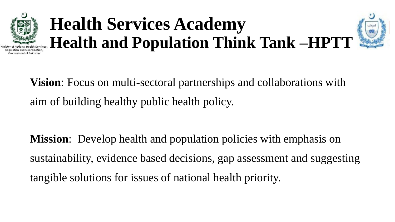

# **Health Services Academy Health and Population Think Tank –HPTT**



**Vision**: Focus on multi-sectoral partnerships and collaborations with aim of building healthy public health policy.

**Mission**: Develop health and population policies with emphasis on sustainability, evidence based decisions, gap assessment and suggesting tangible solutions for issues of national health priority.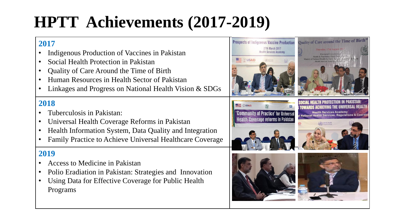## **HPTT Achievements (2017-2019)**

#### **2017**

- Indigenous Production of Vaccines in Pakistan
- Social Health Protection in Pakistan
- Quality of Care Around the Time of Birth
- Human Resources in Health Sector of Pakistan
- Linkages and Progress on National Health Vision & SDGs

#### **2018**

- Tuberculosis in Pakistan:
- Universal Health Coverage Reforms in Pakistan
- Health Information System, Data Quality and Integration
- Family Practice to Achieve Universal Healthcare Coverage

#### **2019**

- Access to Medicine in Pakistan
- Polio Eradiation in Pakistan: Strategies and Innovation
- Using Data for Effective Coverage for Public Health Programs

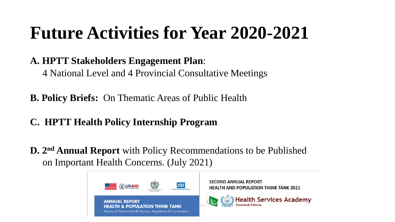## **Future Activities for Year 2020-2021**

### **A. HPTT Stakeholders Engagement Plan**:

4 National Level and 4 Provincial Consultative Meetings

**B. Policy Briefs:** On Thematic Areas of Public Health

### **C. HPTT Health Policy Internship Program**

**D. 2nd Annual Report** with Policy Recommendations to be Published on Important Health Concerns. (July 2021)

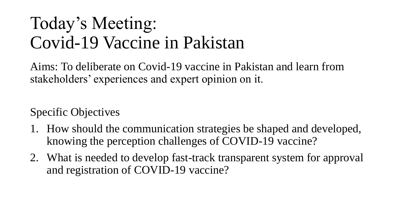## Today's Meeting: Covid-19 Vaccine in Pakistan

Aims: To deliberate on Covid-19 vaccine in Pakistan and learn from stakeholders' experiences and expert opinion on it.

Specific Objectives

- 1. How should the communication strategies be shaped and developed, knowing the perception challenges of COVID-19 vaccine?
- 2. What is needed to develop fast-track transparent system for approval and registration of COVID-19 vaccine?